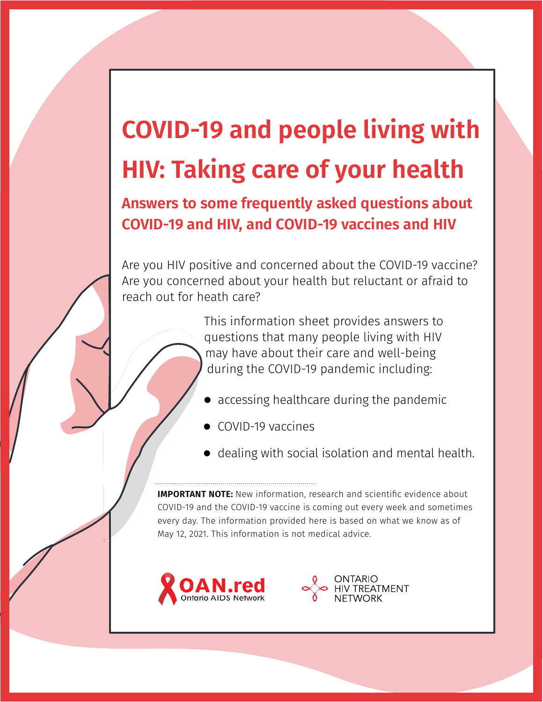# **COVID-19 and people living with HIV: Taking care of your health**

**Answers to some frequently asked questions about COVID-19 and HIV, and COVID-19 vaccines and HIV**

Are you HIV positive and concerned about the COVID-19 vaccine? Are you concerned about your health but reluctant or afraid to reach out for heath care?

> This information sheet provides answers to questions that many people living with HIV may have about their care and well-being during the COVID-19 pandemic including:

- $\bullet$  accessing healthcare during the pandemic
- $\bullet$  COVID-19 vaccines
- $\bullet$  dealing with social isolation and mental health.

**IMPORTANT NOTE:** New information, research and scientific evidence about COVID-19 and the COVID-19 vaccine is coming out every week and sometimes every day. The information provided here is based on what we know as of May 12, 2021. This information is not medical advice.



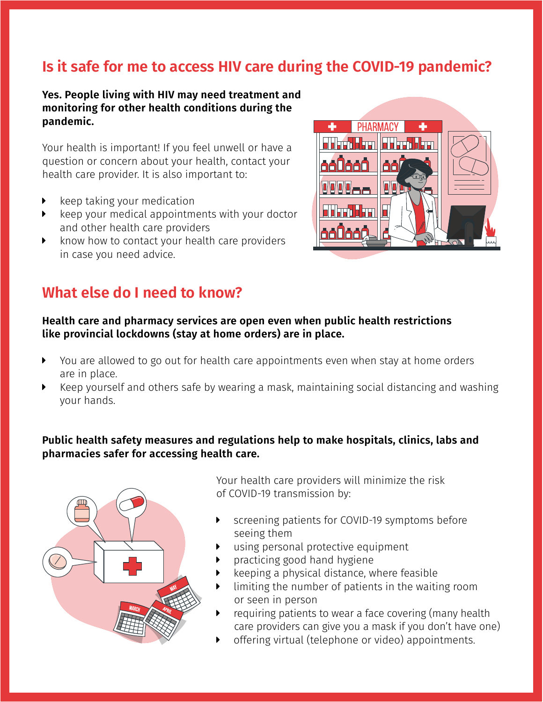# **Is it safe for me to access HIV care during the COVID-19 pandemic?**

#### **Yes. People living with HIV may need treatment and monitoring for other health conditions during the pandemic.**

Your health is important! If you feel unwell or have a question or concern about your health, contact your health care provider. It is also important to:

- keep taking your medication
- $\triangleright$  keep your medical appointments with your doctor and other health care providers
- know how to contact your health care providers in case you need advice.

# **What else do I need to know?**



#### **Health care and pharmacy services are open even when public health restrictions like provincial lockdowns (stay at home orders) are in place.**

- You are allowed to go out for health care appointments even when stay at home orders are in place.
- Keep yourself and others safe by wearing a mask, maintaining social distancing and washing your hands.

#### **Public health safety measures and regulations help to make hospitals, clinics, labs and pharmacies safer for accessing health care.**



Your health care providers will minimize the risk of COVID-19 transmission by:

- screening patients for COVID-19 symptoms before seeing them
- using personal protective equipment
- practicing good hand hygiene
- keeping a physical distance, where feasible
- limiting the number of patients in the waiting room or seen in person
- requiring patients to wear a face covering (many health care providers can give you a mask if you don't have one)
- offering virtual (telephone or video) appointments.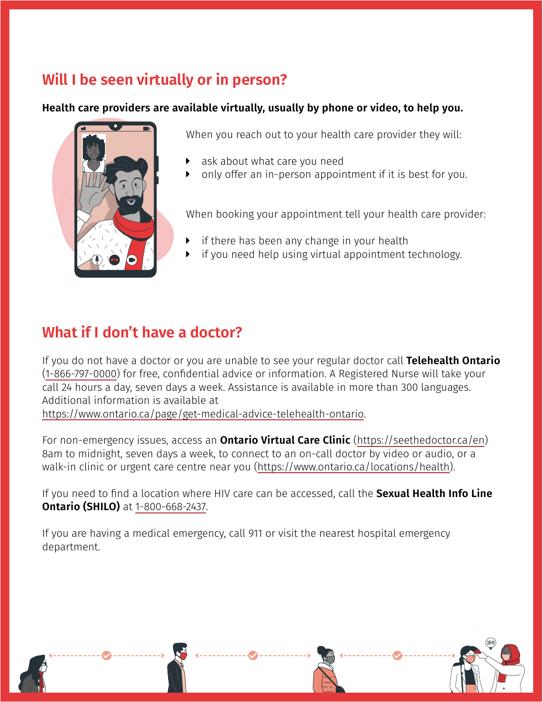# **Will I be seen virtually or in person?**

#### **Health care providers are available virtually, usually by phone or video, to help you.**



When you reach out to your health care provider they will:

- ask about what care you need
- only offer an in-person appointment if it is best for you.

When booking your appointment tell your health care provider:

- if there has been any change in your health
- if you need help using virtual appointment technology.

# **What if I don't have a doctor?**

If you do not have a doctor or you are unable to see your regular doctor call **Telehealth Ontario** (1-866-797-0000) for free, confidential advice or information. A Registered Nurse will take your call 24 hours a day, seven days a week. Assistance is available in more than 300 languages. Additional information is available at <https://www.ontario.ca/page/get-medical-advice-telehealth-ontario>.

For non-emergency issues, access an **Ontario Virtual Care Clinic** ([https://seethedoctor.ca/en\)](https://seethedoctor.ca/en) 8am to midnight, seven days a week, to connect to an on-call doctor by video or audio, or a

walk-in clinic or urgent care centre near you [\(https://www.ontario.ca/locations/health](https://www.ontario.ca/locations/health)).

If you need to find a location where HIV care can be accessed, call the **Sexual Health Info Line Ontario (SHILO)** at 1-800-668-2437.

If you are having a medical emergency, call 911 or visit the nearest hospital emergency department.

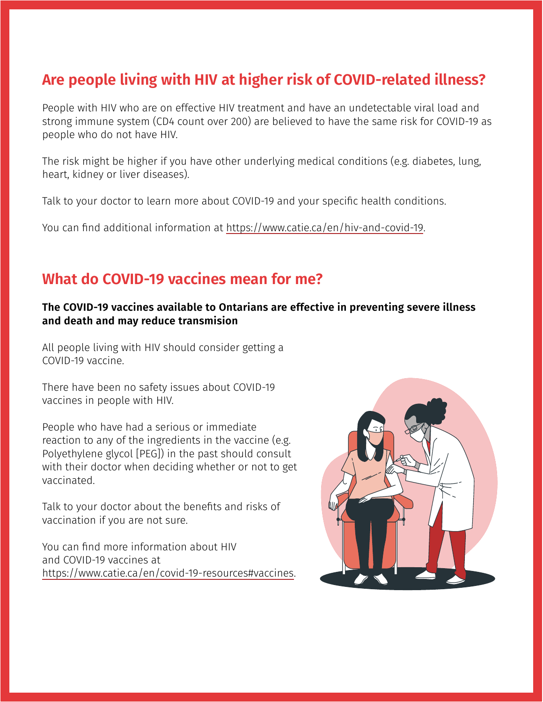# **Are people living with HIV at higher risk of COVID-related illness?**

People with HIV who are on effective HIV treatment and have an undetectable viral load and strong immune system (CD4 count over 200) are believed to have the same risk for COVID-19 as people who do not have HIV.

The risk might be higher if you have other underlying medical conditions (e.g. diabetes, lung, heart, kidney or liver diseases).

Talk to your doctor to learn more about COVID-19 and your specific health conditions.

You can find additional information at [https://www.catie.ca/en/hiv-and-covid-19.](https://www.catie.ca/en/hiv-and-covid-19)

# **What do COVID-19 vaccines mean for me?**

#### **The COVID-19 vaccines available to Ontarians are effective in preventing severe illness and death and may reduce transmision**

All people living with HIV should consider getting a COVID-19 vaccine.

There have been no safety issues about COVID-19 vaccines in people with HIV.

People who have had a serious or immediate reaction to any of the ingredients in the vaccine (e.g. Polyethylene glycol [PEG]) in the past should consult with their doctor when deciding whether or not to get vaccinated.

Talk to your doctor about the benefits and risks of vaccination if you are not sure.

You can find more information about HIV and COVID-19 vaccines at <https://www.catie.ca/en/covid-19-resources#vaccines>.

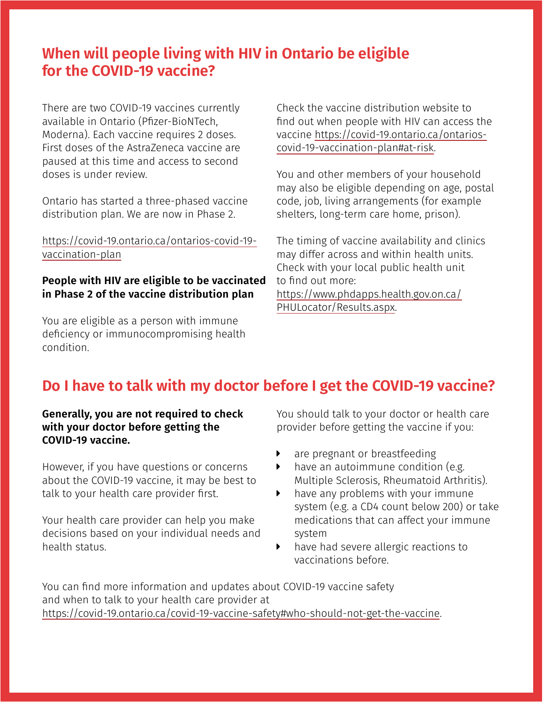# **When will people living with HIV in Ontario be eligible for the COVID-19 vaccine?**

There are two COVID-19 vaccines currently available in Ontario (Pfizer-BioNTech, Moderna). Each vaccine requires 2 doses. First doses of the AstraZeneca vaccine are paused at this time and access to second doses is under review.

Ontario has started a three-phased vaccine distribution plan. We are now in Phase 2.

[https://covid-19.ontario.ca/ontarios-covid-19](https://covid-19.ontario.ca/ontarios-covid-19-vaccination-plan) [vaccination-plan](https://covid-19.ontario.ca/ontarios-covid-19-vaccination-plan)

#### **People with HIV are eligible to be vaccinated in Phase 2 of the vaccine distribution plan**

You are eligible as a person with immune deficiency or immunocompromising health condition.

Check the vaccine distribution website to find out when people with HIV can access the vaccine [https://covid-19.ontario.ca/ontarios](https://covid-19.ontario.ca/ontarios-covid-19-vaccination-plan#at-risk)[covid-19-vaccination-plan#at-risk](https://covid-19.ontario.ca/ontarios-covid-19-vaccination-plan#at-risk).

You and other members of your household may also be eligible depending on age, postal code, job, living arrangements (for example shelters, long-term care home, prison).

The timing of vaccine availability and clinics may differ across and within health units. Check with your local public health unit to find out more: [https://www.phdapps.health.gov.on.ca/](https://www.phdapps.health.gov.on.ca/PHULocator/Results.aspx) [PHULocator/Results.aspx](https://www.phdapps.health.gov.on.ca/PHULocator/Results.aspx).

# **Do I have to talk with my doctor before I get the COVID-19 vaccine?**

#### **Generally, you are not required to check with your doctor before getting the COVID-19 vaccine.**

However, if you have questions or concerns about the COVID-19 vaccine, it may be best to talk to your health care provider first.

Your health care provider can help you make decisions based on your individual needs and health status.

You should talk to your doctor or health care provider before getting the vaccine if you:

- $\triangleright$  are pregnant or breastfeeding
- $\blacktriangleright$  have an autoimmune condition (e.g. Multiple Sclerosis, Rheumatoid Arthritis).
- $\blacktriangleright$  have any problems with your immune system (e.g. a CD4 count below 200) or take medications that can affect your immune system
- $\blacktriangleright$  have had severe allergic reactions to vaccinations before.

You can find more information and updates about COVID-19 vaccine safety and when to talk to your health care provider at <https://covid-19.ontario.ca/covid-19-vaccine-safety#who-should-not-get-the-vaccine>.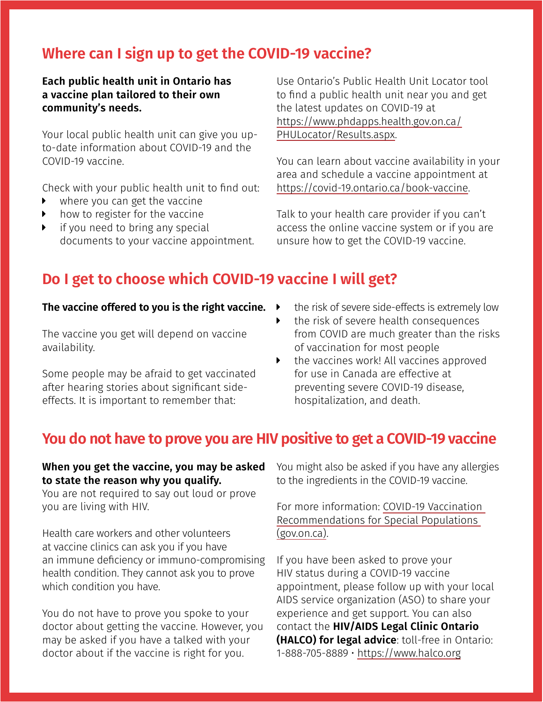# **Where can I sign up to get the COVID-19 vaccine?**

**Each public health unit in Ontario has a vaccine plan tailored to their own community's needs.**

Your local public health unit can give you upto-date information about COVID-19 and the COVID-19 vaccine.

Check with your public health unit to find out:

- where you can get the vaccine
- $\blacktriangleright$  how to register for the vaccine
- if you need to bring any special documents to your vaccine appointment.

Use Ontario's Public Health Unit Locator tool to find a public health unit near you and get the latest updates on COVID-19 at [https://www.phdapps.health.gov.on.ca/](https://www.phdapps.health.gov.on.ca/PHULocator/Results.aspx) [PHULocator/Results.aspx](https://www.phdapps.health.gov.on.ca/PHULocator/Results.aspx).

You can learn about vaccine availability in your area and schedule a vaccine appointment at [https://covid-19.ontario.ca/book-vaccine.](https://covid-19.ontario.ca/book-vaccine)

Talk to your health care provider if you can't access the online vaccine system or if you are unsure how to get the COVID-19 vaccine.

## **Do I get to choose which COVID-19 vaccine I will get?**

#### **The vaccine offered to you is the right vaccine.**

The vaccine you get will depend on vaccine availability.

Some people may be afraid to get vaccinated after hearing stories about significant sideeffects. It is important to remember that:

- the risk of severe side-effects is extremely low
- $\blacktriangleright$  the risk of severe health consequences from COVID are much greater than the risks of vaccination for most people
- $\triangleright$  the vaccines work! All vaccines approved for use in Canada are effective at preventing severe COVID-19 disease, hospitalization, and death.

## **You do not have to prove you are HIV positive to get a COVID-19 vaccine**

#### **When you get the vaccine, you may be asked to state the reason why you qualify.**

You are not required to say out loud or prove you are living with HIV.

Health care workers and other volunteers at vaccine clinics can ask you if you have an immune deficiency or immuno-compromising health condition. They cannot ask you to prove which condition you have.

You do not have to prove you spoke to your doctor about getting the vaccine. However, you may be asked if you have a talked with your doctor about if the vaccine is right for you.

You might also be asked if you have any allergies to the ingredients in the COVID-19 vaccine.

For more information: [COVID-19 Vaccination](https://www.health.gov.on.ca/en/pro/programs/publichealth/coronavirus/docs/vaccine/COVID-19_vaccination_rec_special_populations.pdf)  [Recommendations for Special Populations](https://www.health.gov.on.ca/en/pro/programs/publichealth/coronavirus/docs/vaccine/COVID-19_vaccination_rec_special_populations.pdf)  [\(gov.on.ca\)](https://www.health.gov.on.ca/en/pro/programs/publichealth/coronavirus/docs/vaccine/COVID-19_vaccination_rec_special_populations.pdf).

If you have been asked to prove your HIV status during a COVID-19 vaccine appointment, please follow up with your local AIDS service organization (ASO) to share your experience and get support. You can also contact the **HIV/AIDS Legal Clinic Ontario (HALCO) for legal advice**: toll-free in Ontario: 1-888-705-8889 • https://www.halco.org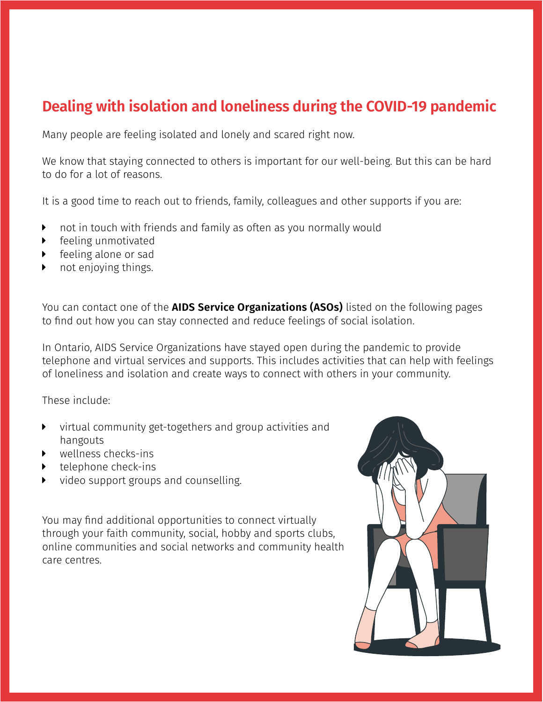# **Dealing with isolation and loneliness during the COVID-19 pandemic**

Many people are feeling isolated and lonely and scared right now.

We know that staying connected to others is important for our well-being. But this can be hard to do for a lot of reasons.

It is a good time to reach out to friends, family, colleagues and other supports if you are:

- $\triangleright$  not in touch with friends and family as often as you normally would
- $\blacktriangleright$  feeling unmotivated
- feeling alone or sad
- not enjoying things.

You can contact one of the **AIDS Service Organizations (ASOs)** listed on the following pages to find out how you can stay connected and reduce feelings of social isolation.

In Ontario, AIDS Service Organizations have stayed open during the pandemic to provide telephone and virtual services and supports. This includes activities that can help with feelings of loneliness and isolation and create ways to connect with others in your community.

These include:

- $\blacktriangleright$  virtual community get-togethers and group activities and hangouts
- $\triangleright$  wellness checks-ins
- telephone check-ins
- video support groups and counselling.

You may find additional opportunities to connect virtually through your faith community, social, hobby and sports clubs, online communities and social networks and community health care centres.

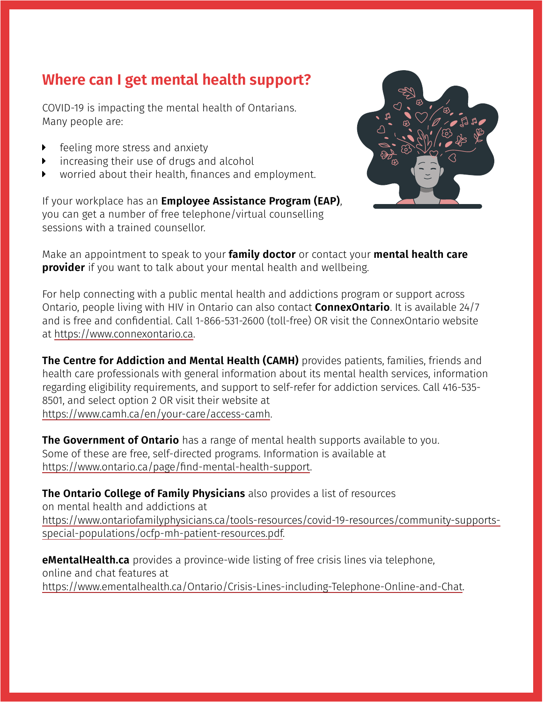# **Where can I get mental health support?**

COVID-19 is impacting the mental health of Ontarians. Many people are:

- feeling more stress and anxiety
- $\triangleright$  increasing their use of drugs and alcohol
- worried about their health, finances and employment.

If your workplace has an **Employee Assistance Program (EAP)**, you can get a number of free telephone/virtual counselling sessions with a trained counsellor.



Make an appointment to speak to your **family doctor** or contact your **mental health care provider** if you want to talk about your mental health and wellbeing.

For help connecting with a public mental health and addictions program or support across Ontario, people living with HIV in Ontario can also contact **ConnexOntario**. It is available 24/7 and is free and confidential. Call 1-866-531-2600 (toll-free) OR visit the ConnexOntario website at https:/[/www.connexontario.ca.](http://www.connexontario.ca)

**The Centre for Addiction and Mental Health (CAMH)** provides patients, families, friends and health care professionals with general information about its mental health services, information regarding eligibility requirements, and support to self-refer for addiction services. Call 416-535- 8501, and select option 2 OR visit their website at https://[www.camh.ca/en/your-care/access-camh.](http://www.camh.ca/en/your-care/access-camh)

**The Government of Ontario** has a range of mental health supports available to you. Some of these are free, self-directed programs. Information is available at <https://www.ontario.ca/page/find-mental-health-support>.

**The Ontario College of Family Physicians** also provides a list of resources on mental health and addictions at [https://www.ontariofamilyphysicians.ca/tools-resources/covid-19-resources/community-supports](https://www.ontariofamilyphysicians.ca/tools-resources/covid-19-resources/community-supports-special-populations/ocfp-mh-patient-resources.pdf)[special-populations/ocfp-mh-patient-resources.pdf.](https://www.ontariofamilyphysicians.ca/tools-resources/covid-19-resources/community-supports-special-populations/ocfp-mh-patient-resources.pdf)

**[eMentalHealth.ca](http://eMentalHealth.ca)** provides a province-wide listing of free crisis lines via telephone, online and chat features at [https://www.ementalhealth.ca/Ontario/Crisis-Lines-including-Telephone-Online-and-Chat.](https://www.ementalhealth.ca/Ontario/Crisis-Lines-including-Telephone-Online-and-Chat)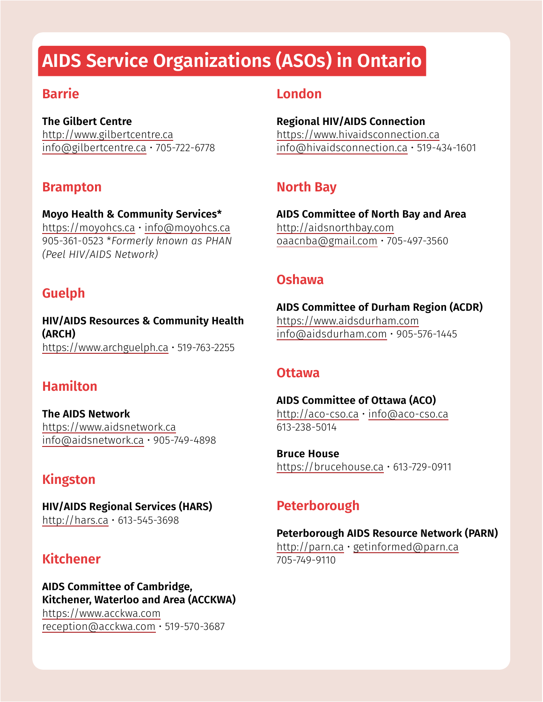# **AIDS Service Organizations (ASOs) in Ontario**

#### **Barrie**

**The Gilbert Centre**  <http://www.gilbertcentre.ca> [info@gilbertcentre.ca](mailto:info@gilbertcentre.ca) • 705-722-6778

### **Brampton**

**Moyo Health & Community Services\*** <https://moyohcs.ca>• [info@moyohcs.ca](mailto:info@moyohcs.ca) 905-361-0523 \**Formerly known as PHAN (Peel HIV/AIDS Network)*

## **Guelph**

**HIV/AIDS Resources & Community Health (ARCH)** <https://www.archguelph.ca> • 519-763-2255

## **Hamilton**

**The AIDS Network**  <https://www.aidsnetwork.ca> [info@aidsnetwork.ca](mailto:info@aidsnetwork.ca) • 905-749-4898

## **Kingston**

**HIV/AIDS Regional Services (HARS)**  <http://hars.ca> • 613-545-3698

## **Kitchener**

#### **AIDS Committee of Cambridge, Kitchener, Waterloo and Area (ACCKWA)**  <https://www.acckwa.com> [reception@acckwa.com](mailto:reception@acckwa.com) • 519-570-3687

#### **London**

**Regional HIV/AIDS Connection**  <https://www.hivaidsconnection.ca> [info@hivaidsconnection.ca](mailto:info@hivaidsconnection.ca) • 519-434-1601

## **North Bay**

**AIDS Committee of North Bay and Area**  <http://aidsnorthbay.com> [oaacnba@gmail.com](mailto:oaacnba@gmail.com) • 705-497-3560

#### **Oshawa**

**AIDS Committee of Durham Region (ACDR)**  <https://www.aidsdurham.com> [info@aidsdurham.com](mailto:info@aidsdurham.com) • 905-576-1445

#### **Ottawa**

**AIDS Committee of Ottawa (ACO)**  <http://aco-cso.ca>• [info@aco-cso.ca](mailto:info@aco-cso.ca) 613-238-5014

**Bruce House**  <https://brucehouse.ca> • 613-729-0911

### **Peterborough**

#### **Peterborough AIDS Resource Network (PARN)**

<http://parn.ca> • [getinformed@parn.ca](mailto:getinformed@parn.ca) 705-749-9110